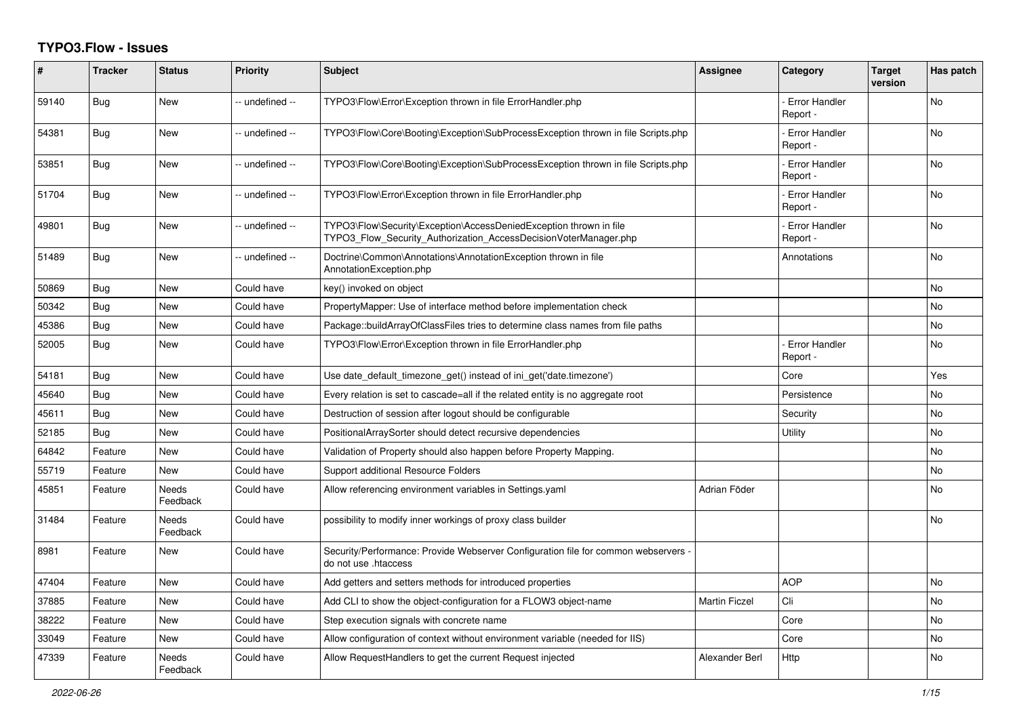## **TYPO3.Flow - Issues**

| #     | <b>Tracker</b> | <b>Status</b>            | <b>Priority</b> | <b>Subject</b>                                                                                                                         | <b>Assignee</b>      | Category                         | <b>Target</b><br>version | Has patch |
|-------|----------------|--------------------------|-----------------|----------------------------------------------------------------------------------------------------------------------------------------|----------------------|----------------------------------|--------------------------|-----------|
| 59140 | Bug            | New                      | -- undefined -- | TYPO3\Flow\Error\Exception thrown in file ErrorHandler.php                                                                             |                      | <b>Error Handler</b><br>Report - |                          | No        |
| 54381 | Bug            | New                      | -- undefined -- | TYPO3\Flow\Core\Booting\Exception\SubProcessException thrown in file Scripts.php                                                       |                      | <b>Error Handler</b><br>Report - |                          | No        |
| 53851 | Bug            | <b>New</b>               | -- undefined -- | TYPO3\Flow\Core\Booting\Exception\SubProcessException thrown in file Scripts.php                                                       |                      | <b>Error Handler</b><br>Report - |                          | <b>No</b> |
| 51704 | Bug            | <b>New</b>               | -- undefined -- | TYPO3\Flow\Error\Exception thrown in file ErrorHandler.php                                                                             |                      | <b>Error Handler</b><br>Report - |                          | <b>No</b> |
| 49801 | Bug            | New                      | -- undefined -- | TYPO3\Flow\Security\Exception\AccessDeniedException thrown in file<br>TYPO3 Flow Security Authorization AccessDecisionVoterManager.php |                      | - Error Handler<br>Report -      |                          | <b>No</b> |
| 51489 | Bug            | New                      | -- undefined -- | Doctrine\Common\Annotations\AnnotationException thrown in file<br>AnnotationException.php                                              |                      | Annotations                      |                          | <b>No</b> |
| 50869 | Bug            | New                      | Could have      | key() invoked on object                                                                                                                |                      |                                  |                          | No        |
| 50342 | Bug            | New                      | Could have      | PropertyMapper: Use of interface method before implementation check                                                                    |                      |                                  |                          | No        |
| 45386 | Bug            | New                      | Could have      | Package::buildArrayOfClassFiles tries to determine class names from file paths                                                         |                      |                                  |                          | No        |
| 52005 | Bug            | New                      | Could have      | TYPO3\Flow\Error\Exception thrown in file ErrorHandler.php                                                                             |                      | <b>Error Handler</b><br>Report - |                          | No        |
| 54181 | <b>Bug</b>     | New                      | Could have      | Use date_default_timezone_get() instead of ini_get('date.timezone')                                                                    |                      | Core                             |                          | Yes       |
| 45640 | Bug            | New                      | Could have      | Every relation is set to cascade=all if the related entity is no aggregate root                                                        |                      | Persistence                      |                          | No        |
| 45611 | <b>Bug</b>     | <b>New</b>               | Could have      | Destruction of session after logout should be configurable                                                                             |                      | Security                         |                          | <b>No</b> |
| 52185 | Bug            | <b>New</b>               | Could have      | PositionalArraySorter should detect recursive dependencies                                                                             |                      | Utility                          |                          | <b>No</b> |
| 64842 | Feature        | <b>New</b>               | Could have      | Validation of Property should also happen before Property Mapping.                                                                     |                      |                                  |                          | <b>No</b> |
| 55719 | Feature        | New                      | Could have      | Support additional Resource Folders                                                                                                    |                      |                                  |                          | No        |
| 45851 | Feature        | Needs<br>Feedback        | Could have      | Allow referencing environment variables in Settings yaml                                                                               | Adrian Föder         |                                  |                          | No        |
| 31484 | Feature        | <b>Needs</b><br>Feedback | Could have      | possibility to modify inner workings of proxy class builder                                                                            |                      |                                  |                          | No        |
| 8981  | Feature        | New                      | Could have      | Security/Performance: Provide Webserver Configuration file for common webservers<br>do not use .htaccess                               |                      |                                  |                          |           |
| 47404 | Feature        | <b>New</b>               | Could have      | Add getters and setters methods for introduced properties                                                                              |                      | <b>AOP</b>                       |                          | <b>No</b> |
| 37885 | Feature        | <b>New</b>               | Could have      | Add CLI to show the object-configuration for a FLOW3 object-name                                                                       | <b>Martin Ficzel</b> | Cli                              |                          | <b>No</b> |
| 38222 | Feature        | New                      | Could have      | Step execution signals with concrete name                                                                                              |                      | Core                             |                          | No        |
| 33049 | Feature        | New                      | Could have      | Allow configuration of context without environment variable (needed for IIS)                                                           |                      | Core                             |                          | No        |
| 47339 | Feature        | Needs<br>Feedback        | Could have      | Allow RequestHandlers to get the current Request injected                                                                              | Alexander Berl       | Http                             |                          | No        |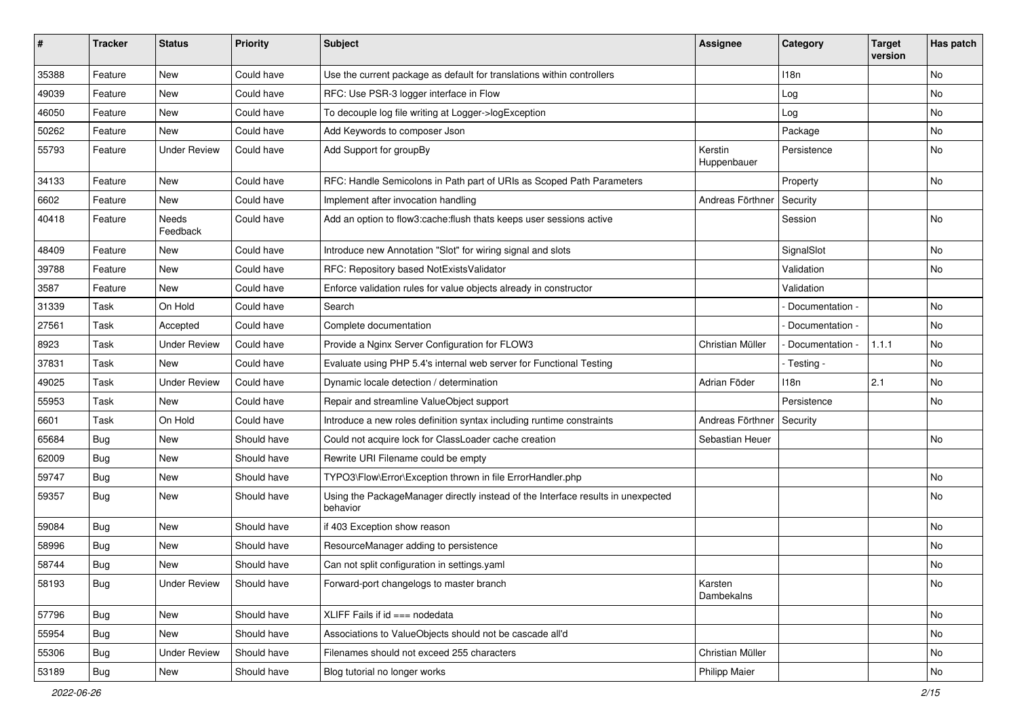| #     | <b>Tracker</b> | <b>Status</b>       | <b>Priority</b> | <b>Subject</b>                                                                               | <b>Assignee</b>        | Category        | <b>Target</b><br>version | Has patch |
|-------|----------------|---------------------|-----------------|----------------------------------------------------------------------------------------------|------------------------|-----------------|--------------------------|-----------|
| 35388 | Feature        | New                 | Could have      | Use the current package as default for translations within controllers                       |                        | 118n            |                          | No        |
| 49039 | Feature        | New                 | Could have      | RFC: Use PSR-3 logger interface in Flow                                                      |                        | Log             |                          | No        |
| 46050 | Feature        | New                 | Could have      | To decouple log file writing at Logger->logException                                         |                        | Log             |                          | No        |
| 50262 | Feature        | New                 | Could have      | Add Keywords to composer Json                                                                |                        | Package         |                          | No        |
| 55793 | Feature        | <b>Under Review</b> | Could have      | Add Support for groupBy                                                                      | Kerstin<br>Huppenbauer | Persistence     |                          | No        |
| 34133 | Feature        | New                 | Could have      | RFC: Handle Semicolons in Path part of URIs as Scoped Path Parameters                        |                        | Property        |                          | No        |
| 6602  | Feature        | New                 | Could have      | Implement after invocation handling                                                          | Andreas Förthner       | Security        |                          |           |
| 40418 | Feature        | Needs<br>Feedback   | Could have      | Add an option to flow3:cache:flush thats keeps user sessions active                          |                        | Session         |                          | No        |
| 48409 | Feature        | New                 | Could have      | Introduce new Annotation "Slot" for wiring signal and slots                                  |                        | SignalSlot      |                          | No        |
| 39788 | Feature        | <b>New</b>          | Could have      | RFC: Repository based NotExistsValidator                                                     |                        | Validation      |                          | No        |
| 3587  | Feature        | New                 | Could have      | Enforce validation rules for value objects already in constructor                            |                        | Validation      |                          |           |
| 31339 | Task           | On Hold             | Could have      | Search                                                                                       |                        | Documentation - |                          | <b>No</b> |
| 27561 | Task           | Accepted            | Could have      | Complete documentation                                                                       |                        | Documentation - |                          | No        |
| 8923  | Task           | <b>Under Review</b> | Could have      | Provide a Nginx Server Configuration for FLOW3                                               | Christian Müller       | Documentation - | 1.1.1                    | No        |
| 37831 | Task           | New                 | Could have      | Evaluate using PHP 5.4's internal web server for Functional Testing                          |                        | - Testing -     |                          | No        |
| 49025 | Task           | <b>Under Review</b> | Could have      | Dynamic locale detection / determination                                                     | Adrian Föder           | 118n            | 2.1                      | No        |
| 55953 | Task           | New                 | Could have      | Repair and streamline ValueObject support                                                    |                        | Persistence     |                          | No        |
| 6601  | Task           | On Hold             | Could have      | Introduce a new roles definition syntax including runtime constraints                        | Andreas Förthner       | Security        |                          |           |
| 65684 | Bug            | New                 | Should have     | Could not acquire lock for ClassLoader cache creation                                        | Sebastian Heuer        |                 |                          | No        |
| 62009 | Bug            | New                 | Should have     | Rewrite URI Filename could be empty                                                          |                        |                 |                          |           |
| 59747 | Bug            | New                 | Should have     | TYPO3\Flow\Error\Exception thrown in file ErrorHandler.php                                   |                        |                 |                          | <b>No</b> |
| 59357 | Bug            | New                 | Should have     | Using the PackageManager directly instead of the Interface results in unexpected<br>behavior |                        |                 |                          | No        |
| 59084 | <b>Bug</b>     | New                 | Should have     | if 403 Exception show reason                                                                 |                        |                 |                          | No        |
| 58996 | Bug            | New                 | Should have     | ResourceManager adding to persistence                                                        |                        |                 |                          | <b>No</b> |
| 58744 | Bug            | New                 | Should have     | Can not split configuration in settings.yaml                                                 |                        |                 |                          | No        |
| 58193 | <b>Bug</b>     | <b>Under Review</b> | Should have     | Forward-port changelogs to master branch                                                     | Karsten<br>Dambekalns  |                 |                          | No        |
| 57796 | <b>Bug</b>     | New                 | Should have     | XLIFF Fails if id === nodedata                                                               |                        |                 |                          | No        |
| 55954 | <b>Bug</b>     | New                 | Should have     | Associations to ValueObjects should not be cascade all'd                                     |                        |                 |                          | No        |
| 55306 | <b>Bug</b>     | <b>Under Review</b> | Should have     | Filenames should not exceed 255 characters                                                   | Christian Müller       |                 |                          | No        |
| 53189 | Bug            | New                 | Should have     | Blog tutorial no longer works                                                                | <b>Philipp Maier</b>   |                 |                          | No        |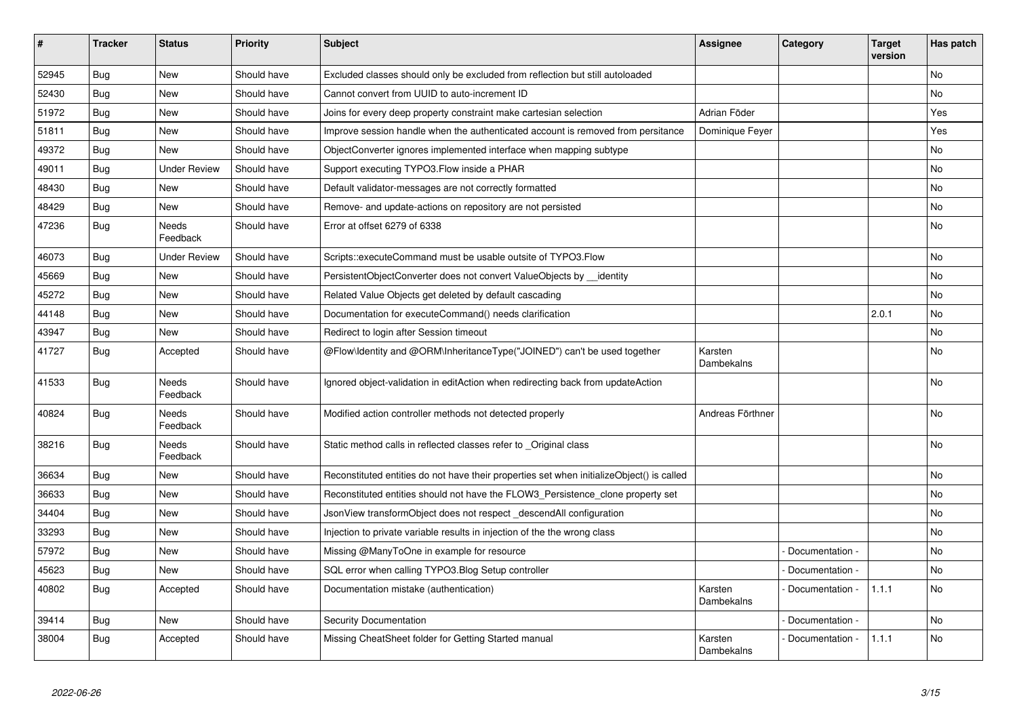| $\vert$ # | <b>Tracker</b> | <b>Status</b>            | <b>Priority</b> | <b>Subject</b>                                                                            | <b>Assignee</b>       | Category        | <b>Target</b><br>version | Has patch |
|-----------|----------------|--------------------------|-----------------|-------------------------------------------------------------------------------------------|-----------------------|-----------------|--------------------------|-----------|
| 52945     | Bug            | <b>New</b>               | Should have     | Excluded classes should only be excluded from reflection but still autoloaded             |                       |                 |                          | No        |
| 52430     | Bug            | New                      | Should have     | Cannot convert from UUID to auto-increment ID                                             |                       |                 |                          | No        |
| 51972     | Bug            | New                      | Should have     | Joins for every deep property constraint make cartesian selection                         | Adrian Föder          |                 |                          | Yes       |
| 51811     | <b>Bug</b>     | <b>New</b>               | Should have     | Improve session handle when the authenticated account is removed from persitance          | Dominique Feyer       |                 |                          | Yes       |
| 49372     | <b>Bug</b>     | <b>New</b>               | Should have     | ObjectConverter ignores implemented interface when mapping subtype                        |                       |                 |                          | No        |
| 49011     | Bug            | <b>Under Review</b>      | Should have     | Support executing TYPO3. Flow inside a PHAR                                               |                       |                 |                          | No        |
| 48430     | <b>Bug</b>     | <b>New</b>               | Should have     | Default validator-messages are not correctly formatted                                    |                       |                 |                          | No        |
| 48429     | <b>Bug</b>     | <b>New</b>               | Should have     | Remove- and update-actions on repository are not persisted                                |                       |                 |                          | No        |
| 47236     | <b>Bug</b>     | Needs<br>Feedback        | Should have     | Error at offset 6279 of 6338                                                              |                       |                 |                          | <b>No</b> |
| 46073     | <b>Bug</b>     | <b>Under Review</b>      | Should have     | Scripts::executeCommand must be usable outsite of TYPO3.Flow                              |                       |                 |                          | <b>No</b> |
| 45669     | <b>Bug</b>     | <b>New</b>               | Should have     | PersistentObjectConverter does not convert ValueObjects by identity                       |                       |                 |                          | No        |
| 45272     | <b>Bug</b>     | New                      | Should have     | Related Value Objects get deleted by default cascading                                    |                       |                 |                          | No        |
| 44148     | <b>Bug</b>     | <b>New</b>               | Should have     | Documentation for executeCommand() needs clarification                                    |                       |                 | 2.0.1                    | No        |
| 43947     | <b>Bug</b>     | <b>New</b>               | Should have     | Redirect to login after Session timeout                                                   |                       |                 |                          | No        |
| 41727     | Bug            | Accepted                 | Should have     | @Flow\Identity and @ORM\InheritanceType("JOINED") can't be used together                  | Karsten<br>Dambekalns |                 |                          | No        |
| 41533     | <b>Bug</b>     | <b>Needs</b><br>Feedback | Should have     | Ignored object-validation in editAction when redirecting back from updateAction           |                       |                 |                          | No        |
| 40824     | <b>Bug</b>     | Needs<br>Feedback        | Should have     | Modified action controller methods not detected properly                                  | Andreas Förthner      |                 |                          | No        |
| 38216     | Bug            | Needs<br>Feedback        | Should have     | Static method calls in reflected classes refer to _Original class                         |                       |                 |                          | <b>No</b> |
| 36634     | Bug            | <b>New</b>               | Should have     | Reconstituted entities do not have their properties set when initializeObject() is called |                       |                 |                          | <b>No</b> |
| 36633     | Bug            | <b>New</b>               | Should have     | Reconstituted entities should not have the FLOW3 Persistence clone property set           |                       |                 |                          | <b>No</b> |
| 34404     | <b>Bug</b>     | New                      | Should have     | JsonView transformObject does not respect _descendAll configuration                       |                       |                 |                          | No        |
| 33293     | Bug            | <b>New</b>               | Should have     | Injection to private variable results in injection of the the wrong class                 |                       |                 |                          | <b>No</b> |
| 57972     | Bug            | <b>New</b>               | Should have     | Missing @ManyToOne in example for resource                                                |                       | Documentation - |                          | <b>No</b> |
| 45623     | <b>Bug</b>     | <b>New</b>               | Should have     | SQL error when calling TYPO3.Blog Setup controller                                        |                       | Documentation - |                          | <b>No</b> |
| 40802     | <b>Bug</b>     | Accepted                 | Should have     | Documentation mistake (authentication)                                                    | Karsten<br>Dambekalns | Documentation - | 1.1.1                    | <b>No</b> |
| 39414     | <b>Bug</b>     | New                      | Should have     | <b>Security Documentation</b>                                                             |                       | Documentation - |                          | <b>No</b> |
| 38004     | Bug            | Accepted                 | Should have     | Missing CheatSheet folder for Getting Started manual                                      | Karsten<br>Dambekalns | Documentation - | 1.1.1                    | No        |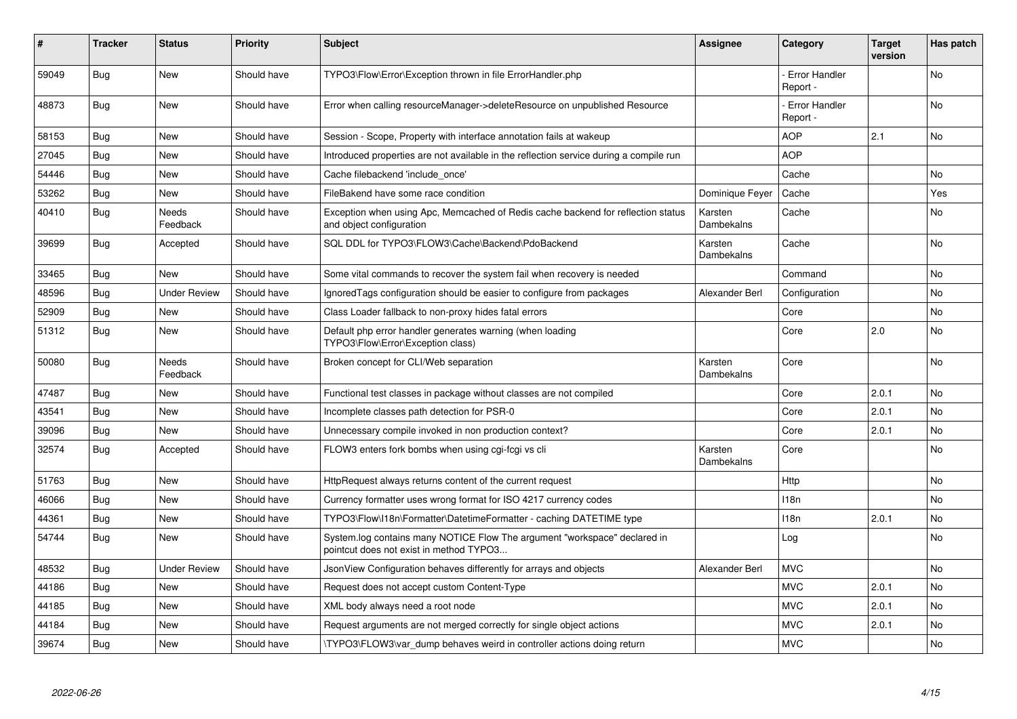| #     | <b>Tracker</b> | <b>Status</b>       | <b>Priority</b> | <b>Subject</b>                                                                                                       | <b>Assignee</b>       | Category                         | <b>Target</b><br>version | Has patch      |
|-------|----------------|---------------------|-----------------|----------------------------------------------------------------------------------------------------------------------|-----------------------|----------------------------------|--------------------------|----------------|
| 59049 | <b>Bug</b>     | <b>New</b>          | Should have     | TYPO3\Flow\Error\Exception thrown in file ErrorHandler.php                                                           |                       | <b>Error Handler</b><br>Report - |                          | N <sub>o</sub> |
| 48873 | <b>Bug</b>     | <b>New</b>          | Should have     | Error when calling resourceManager->deleteResource on unpublished Resource                                           |                       | - Error Handler<br>Report -      |                          | <b>No</b>      |
| 58153 | <b>Bug</b>     | <b>New</b>          | Should have     | Session - Scope, Property with interface annotation fails at wakeup                                                  |                       | <b>AOP</b>                       | 2.1                      | <b>No</b>      |
| 27045 | <b>Bug</b>     | <b>New</b>          | Should have     | Introduced properties are not available in the reflection service during a compile run                               |                       | <b>AOP</b>                       |                          |                |
| 54446 | Bug            | <b>New</b>          | Should have     | Cache filebackend 'include once'                                                                                     |                       | Cache                            |                          | No.            |
| 53262 | <b>Bug</b>     | New                 | Should have     | FileBakend have some race condition                                                                                  | Dominique Feyer       | Cache                            |                          | Yes            |
| 40410 | Bug            | Needs<br>Feedback   | Should have     | Exception when using Apc, Memcached of Redis cache backend for reflection status<br>and object configuration         | Karsten<br>Dambekalns | Cache                            |                          | No             |
| 39699 | <b>Bug</b>     | Accepted            | Should have     | SQL DDL for TYPO3\FLOW3\Cache\Backend\PdoBackend                                                                     | Karsten<br>Dambekalns | Cache                            |                          | No             |
| 33465 | Bug            | <b>New</b>          | Should have     | Some vital commands to recover the system fail when recovery is needed                                               |                       | Command                          |                          | No             |
| 48596 | <b>Bug</b>     | <b>Under Review</b> | Should have     | Ignored Tags configuration should be easier to configure from packages                                               | Alexander Berl        | Configuration                    |                          | No             |
| 52909 | <b>Bug</b>     | <b>New</b>          | Should have     | Class Loader fallback to non-proxy hides fatal errors                                                                |                       | Core                             |                          | No.            |
| 51312 | Bug            | New                 | Should have     | Default php error handler generates warning (when loading<br>TYPO3\Flow\Error\Exception class)                       |                       | Core                             | 2.0                      | No             |
| 50080 | <b>Bug</b>     | Needs<br>Feedback   | Should have     | Broken concept for CLI/Web separation                                                                                | Karsten<br>Dambekalns | Core                             |                          | No             |
| 47487 | <b>Bug</b>     | <b>New</b>          | Should have     | Functional test classes in package without classes are not compiled                                                  |                       | Core                             | 2.0.1                    | No.            |
| 43541 | Bug            | <b>New</b>          | Should have     | Incomplete classes path detection for PSR-0                                                                          |                       | Core                             | 2.0.1                    | No             |
| 39096 | <b>Bug</b>     | <b>New</b>          | Should have     | Unnecessary compile invoked in non production context?                                                               |                       | Core                             | 2.0.1                    | <b>No</b>      |
| 32574 | <b>Bug</b>     | Accepted            | Should have     | FLOW3 enters fork bombs when using cgi-fcgi vs cli                                                                   | Karsten<br>Dambekalns | Core                             |                          | No             |
| 51763 | <b>Bug</b>     | <b>New</b>          | Should have     | HttpRequest always returns content of the current request                                                            |                       | Http                             |                          | No             |
| 46066 | Bug            | <b>New</b>          | Should have     | Currency formatter uses wrong format for ISO 4217 currency codes                                                     |                       | 118 <sub>n</sub>                 |                          | No             |
| 44361 | <b>Bug</b>     | <b>New</b>          | Should have     | TYPO3\Flow\I18n\Formatter\DatetimeFormatter - caching DATETIME type                                                  |                       | 118n                             | 2.0.1                    | No.            |
| 54744 | Bug            | <b>New</b>          | Should have     | System.log contains many NOTICE Flow The argument "workspace" declared in<br>pointcut does not exist in method TYPO3 |                       | Log                              |                          | <b>No</b>      |
| 48532 | <b>Bug</b>     | <b>Under Review</b> | Should have     | JsonView Configuration behaves differently for arrays and objects                                                    | Alexander Berl        | <b>MVC</b>                       |                          | <b>No</b>      |
| 44186 | Bug            | New                 | Should have     | Request does not accept custom Content-Type                                                                          |                       | <b>MVC</b>                       | 2.0.1                    | <b>No</b>      |
| 44185 | <b>Bug</b>     | <b>New</b>          | Should have     | XML body always need a root node                                                                                     |                       | <b>MVC</b>                       | 2.0.1                    | <b>No</b>      |
| 44184 | Bug            | New                 | Should have     | Request arguments are not merged correctly for single object actions                                                 |                       | <b>MVC</b>                       | 2.0.1                    | No             |
| 39674 | <b>Bug</b>     | New                 | Should have     | TYPO3\FLOW3\var dump behaves weird in controller actions doing return                                                |                       | <b>MVC</b>                       |                          | No.            |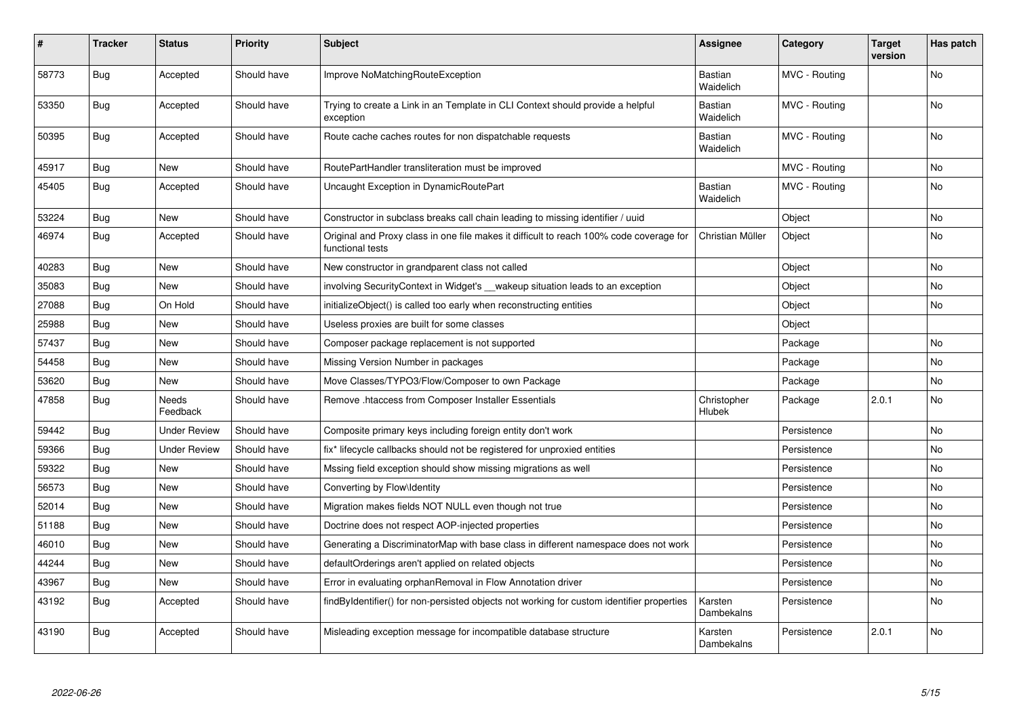| $\vert$ # | <b>Tracker</b> | <b>Status</b>       | <b>Priority</b> | <b>Subject</b>                                                                                              | <b>Assignee</b>       | Category      | <b>Target</b><br>version | Has patch      |
|-----------|----------------|---------------------|-----------------|-------------------------------------------------------------------------------------------------------------|-----------------------|---------------|--------------------------|----------------|
| 58773     | Bug            | Accepted            | Should have     | Improve NoMatchingRouteException                                                                            | Bastian<br>Waidelich  | MVC - Routing |                          | N <sub>o</sub> |
| 53350     | Bug            | Accepted            | Should have     | Trying to create a Link in an Template in CLI Context should provide a helpful<br>exception                 | Bastian<br>Waidelich  | MVC - Routing |                          | No             |
| 50395     | Bug            | Accepted            | Should have     | Route cache caches routes for non dispatchable requests                                                     | Bastian<br>Waidelich  | MVC - Routing |                          | No             |
| 45917     | Bug            | New                 | Should have     | RoutePartHandler transliteration must be improved                                                           |                       | MVC - Routing |                          | No             |
| 45405     | Bug            | Accepted            | Should have     | Uncaught Exception in DynamicRoutePart                                                                      | Bastian<br>Waidelich  | MVC - Routing |                          | No             |
| 53224     | Bug            | New                 | Should have     | Constructor in subclass breaks call chain leading to missing identifier / uuid                              |                       | Object        |                          | No             |
| 46974     | Bug            | Accepted            | Should have     | Original and Proxy class in one file makes it difficult to reach 100% code coverage for<br>functional tests | Christian Müller      | Object        |                          | No             |
| 40283     | Bug            | New                 | Should have     | New constructor in grandparent class not called                                                             |                       | Object        |                          | No             |
| 35083     | Bug            | New                 | Should have     | involving SecurityContext in Widget's __wakeup situation leads to an exception                              |                       | Object        |                          | No             |
| 27088     | <b>Bug</b>     | On Hold             | Should have     | initializeObject() is called too early when reconstructing entities                                         |                       | Object        |                          | <b>No</b>      |
| 25988     | <b>Bug</b>     | <b>New</b>          | Should have     | Useless proxies are built for some classes                                                                  |                       | Object        |                          |                |
| 57437     | <b>Bug</b>     | New                 | Should have     | Composer package replacement is not supported                                                               |                       | Package       |                          | <b>No</b>      |
| 54458     | Bug            | New                 | Should have     | Missing Version Number in packages                                                                          |                       | Package       |                          | <b>No</b>      |
| 53620     | Bug            | <b>New</b>          | Should have     | Move Classes/TYPO3/Flow/Composer to own Package                                                             |                       | Package       |                          | No             |
| 47858     | <b>Bug</b>     | Needs<br>Feedback   | Should have     | Remove .htaccess from Composer Installer Essentials                                                         | Christopher<br>Hlubek | Package       | 2.0.1                    | No             |
| 59442     | <b>Bug</b>     | <b>Under Review</b> | Should have     | Composite primary keys including foreign entity don't work                                                  |                       | Persistence   |                          | No             |
| 59366     | Bug            | <b>Under Review</b> | Should have     | fix* lifecycle callbacks should not be registered for unproxied entities                                    |                       | Persistence   |                          | No             |
| 59322     | Bug            | New                 | Should have     | Mssing field exception should show missing migrations as well                                               |                       | Persistence   |                          | No             |
| 56573     | Bug            | <b>New</b>          | Should have     | Converting by Flow\Identity                                                                                 |                       | Persistence   |                          | <b>No</b>      |
| 52014     | <b>Bug</b>     | <b>New</b>          | Should have     | Migration makes fields NOT NULL even though not true                                                        |                       | Persistence   |                          | No             |
| 51188     | Bug            | New                 | Should have     | Doctrine does not respect AOP-injected properties                                                           |                       | Persistence   |                          | No             |
| 46010     | Bug            | <b>New</b>          | Should have     | Generating a DiscriminatorMap with base class in different namespace does not work                          |                       | Persistence   |                          | No             |
| 44244     | Bug            | <b>New</b>          | Should have     | defaultOrderings aren't applied on related objects                                                          |                       | Persistence   |                          | No.            |
| 43967     | Bug            | New                 | Should have     | Error in evaluating orphanRemoval in Flow Annotation driver                                                 |                       | Persistence   |                          | No             |
| 43192     | Bug            | Accepted            | Should have     | findByIdentifier() for non-persisted objects not working for custom identifier properties                   | Karsten<br>Dambekalns | Persistence   |                          | No             |
| 43190     | Bug            | Accepted            | Should have     | Misleading exception message for incompatible database structure                                            | Karsten<br>Dambekalns | Persistence   | 2.0.1                    | No.            |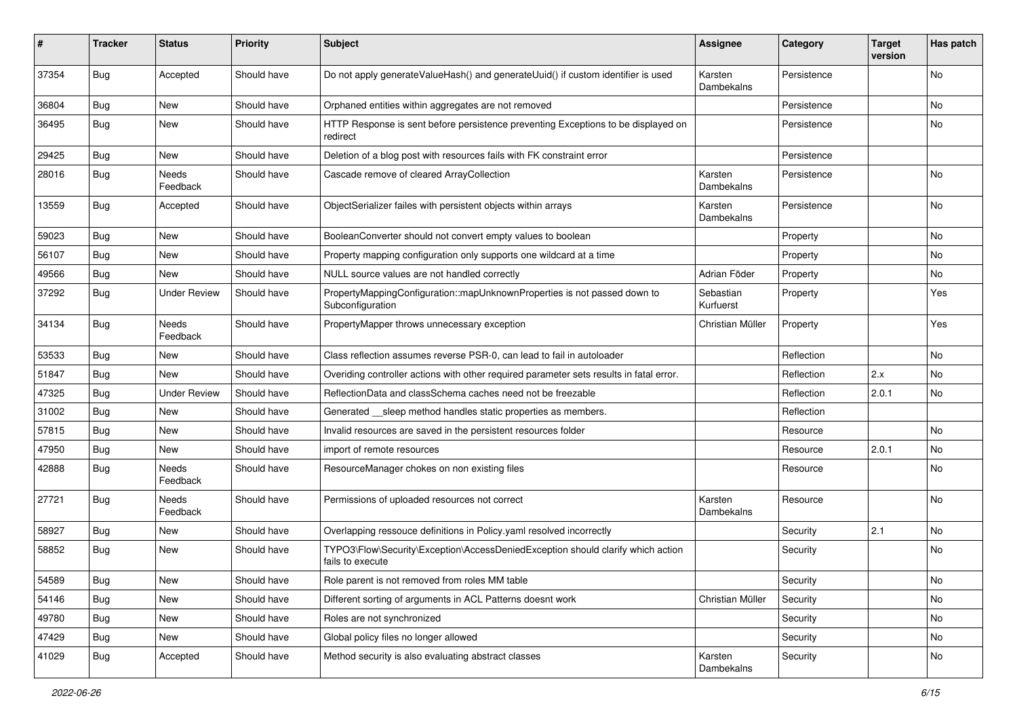| #     | <b>Tracker</b> | <b>Status</b>       | <b>Priority</b> | Subject                                                                                             | <b>Assignee</b>        | Category    | <b>Target</b><br>version | Has patch |
|-------|----------------|---------------------|-----------------|-----------------------------------------------------------------------------------------------------|------------------------|-------------|--------------------------|-----------|
| 37354 | <b>Bug</b>     | Accepted            | Should have     | Do not apply generateValueHash() and generateUuid() if custom identifier is used                    | Karsten<br>Dambekalns  | Persistence |                          | <b>No</b> |
| 36804 | <b>Bug</b>     | New                 | Should have     | Orphaned entities within aggregates are not removed                                                 |                        | Persistence |                          | No        |
| 36495 | <b>Bug</b>     | New                 | Should have     | HTTP Response is sent before persistence preventing Exceptions to be displayed on<br>redirect       |                        | Persistence |                          | <b>No</b> |
| 29425 | <b>Bug</b>     | <b>New</b>          | Should have     | Deletion of a blog post with resources fails with FK constraint error                               |                        | Persistence |                          |           |
| 28016 | <b>Bug</b>     | Needs<br>Feedback   | Should have     | Cascade remove of cleared ArrayCollection                                                           | Karsten<br>Dambekalns  | Persistence |                          | No        |
| 13559 | Bug            | Accepted            | Should have     | ObjectSerializer failes with persistent objects within arrays                                       | Karsten<br>Dambekalns  | Persistence |                          | <b>No</b> |
| 59023 | <b>Bug</b>     | New                 | Should have     | BooleanConverter should not convert empty values to boolean                                         |                        | Property    |                          | <b>No</b> |
| 56107 | <b>Bug</b>     | <b>New</b>          | Should have     | Property mapping configuration only supports one wildcard at a time                                 |                        | Property    |                          | No        |
| 49566 | <b>Bug</b>     | New                 | Should have     | NULL source values are not handled correctly                                                        | Adrian Föder           | Property    |                          | No.       |
| 37292 | Bug            | <b>Under Review</b> | Should have     | PropertyMappingConfiguration::mapUnknownProperties is not passed down to<br>Subconfiguration        | Sebastian<br>Kurfuerst | Property    |                          | Yes       |
| 34134 | Bug            | Needs<br>Feedback   | Should have     | PropertyMapper throws unnecessary exception                                                         | Christian Müller       | Property    |                          | Yes       |
| 53533 | <b>Bug</b>     | New                 | Should have     | Class reflection assumes reverse PSR-0, can lead to fail in autoloader                              |                        | Reflection  |                          | No        |
| 51847 | <b>Bug</b>     | New                 | Should have     | Overiding controller actions with other required parameter sets results in fatal error.             |                        | Reflection  | 2.x                      | <b>No</b> |
| 47325 | Bug            | <b>Under Review</b> | Should have     | ReflectionData and classSchema caches need not be freezable                                         |                        | Reflection  | 2.0.1                    | No        |
| 31002 | <b>Bug</b>     | New                 | Should have     | Generated sleep method handles static properties as members.                                        |                        | Reflection  |                          |           |
| 57815 | <b>Bug</b>     | New                 | Should have     | Invalid resources are saved in the persistent resources folder                                      |                        | Resource    |                          | No        |
| 47950 | <b>Bug</b>     | New                 | Should have     | import of remote resources                                                                          |                        | Resource    | 2.0.1                    | No        |
| 42888 | <b>Bug</b>     | Needs<br>Feedback   | Should have     | ResourceManager chokes on non existing files                                                        |                        | Resource    |                          | No        |
| 27721 | <b>Bug</b>     | Needs<br>Feedback   | Should have     | Permissions of uploaded resources not correct                                                       | Karsten<br>Dambekalns  | Resource    |                          | No        |
| 58927 | <b>Bug</b>     | New                 | Should have     | Overlapping ressouce definitions in Policy.yaml resolved incorrectly                                |                        | Security    | 2.1                      | No        |
| 58852 | <b>Bug</b>     | New                 | Should have     | TYPO3\Flow\Security\Exception\AccessDeniedException should clarify which action<br>fails to execute |                        | Security    |                          | No        |
| 54589 | <b>Bug</b>     | New                 | Should have     | Role parent is not removed from roles MM table                                                      |                        | Security    |                          | No        |
| 54146 | Bug            | New                 | Should have     | Different sorting of arguments in ACL Patterns doesnt work                                          | Christian Müller       | Security    |                          | No        |
| 49780 | Bug            | New                 | Should have     | Roles are not synchronized                                                                          |                        | Security    |                          | No        |
| 47429 | <b>Bug</b>     | New                 | Should have     | Global policy files no longer allowed                                                               |                        | Security    |                          | No        |
| 41029 | <b>Bug</b>     | Accepted            | Should have     | Method security is also evaluating abstract classes                                                 | Karsten<br>Dambekalns  | Security    |                          | No        |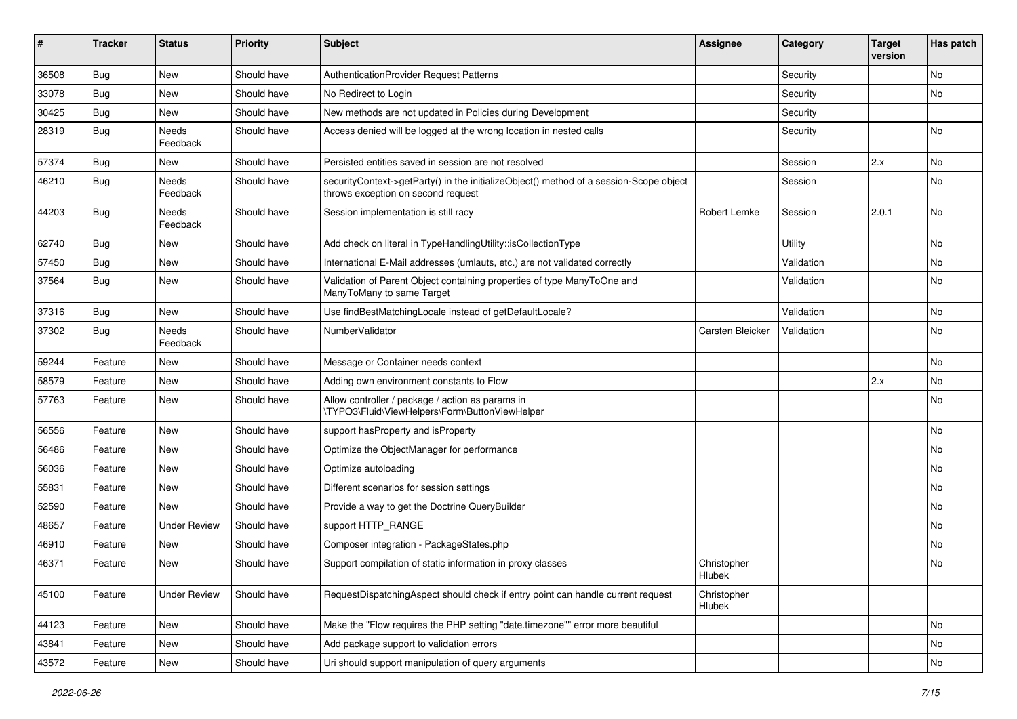| ∦     | <b>Tracker</b> | <b>Status</b>            | <b>Priority</b> | <b>Subject</b>                                                                                                               | <b>Assignee</b>       | Category   | <b>Target</b><br>version | Has patch |
|-------|----------------|--------------------------|-----------------|------------------------------------------------------------------------------------------------------------------------------|-----------------------|------------|--------------------------|-----------|
| 36508 | Bug            | New                      | Should have     | AuthenticationProvider Request Patterns                                                                                      |                       | Security   |                          | No        |
| 33078 | Bug            | New                      | Should have     | No Redirect to Login                                                                                                         |                       | Security   |                          | No        |
| 30425 | <b>Bug</b>     | New                      | Should have     | New methods are not updated in Policies during Development                                                                   |                       | Security   |                          |           |
| 28319 | Bug            | <b>Needs</b><br>Feedback | Should have     | Access denied will be logged at the wrong location in nested calls                                                           |                       | Security   |                          | No        |
| 57374 | <b>Bug</b>     | <b>New</b>               | Should have     | Persisted entities saved in session are not resolved                                                                         |                       | Session    | 2.x                      | <b>No</b> |
| 46210 | <b>Bug</b>     | Needs<br>Feedback        | Should have     | securityContext->getParty() in the initializeObject() method of a session-Scope object<br>throws exception on second request |                       | Session    |                          | No        |
| 44203 | Bug            | Needs<br>Feedback        | Should have     | Session implementation is still racy                                                                                         | Robert Lemke          | Session    | 2.0.1                    | No        |
| 62740 | Bug            | New                      | Should have     | Add check on literal in TypeHandlingUtility::isCollectionType                                                                |                       | Utility    |                          | No        |
| 57450 | Bug            | New                      | Should have     | International E-Mail addresses (umlauts, etc.) are not validated correctly                                                   |                       | Validation |                          | No        |
| 37564 | Bug            | New                      | Should have     | Validation of Parent Object containing properties of type ManyToOne and<br>ManyToMany to same Target                         |                       | Validation |                          | No        |
| 37316 | Bug            | New                      | Should have     | Use findBestMatchingLocale instead of getDefaultLocale?                                                                      |                       | Validation |                          | No        |
| 37302 | <b>Bug</b>     | Needs<br>Feedback        | Should have     | NumberValidator                                                                                                              | Carsten Bleicker      | Validation |                          | No        |
| 59244 | Feature        | <b>New</b>               | Should have     | Message or Container needs context                                                                                           |                       |            |                          | <b>No</b> |
| 58579 | Feature        | New                      | Should have     | Adding own environment constants to Flow                                                                                     |                       |            | 2.x                      | No        |
| 57763 | Feature        | New                      | Should have     | Allow controller / package / action as params in<br>\TYPO3\Fluid\ViewHelpers\Form\ButtonViewHelper                           |                       |            |                          | No        |
| 56556 | Feature        | New                      | Should have     | support has Property and is Property                                                                                         |                       |            |                          | No        |
| 56486 | Feature        | New                      | Should have     | Optimize the ObjectManager for performance                                                                                   |                       |            |                          | No        |
| 56036 | Feature        | New                      | Should have     | Optimize autoloading                                                                                                         |                       |            |                          | No        |
| 55831 | Feature        | New                      | Should have     | Different scenarios for session settings                                                                                     |                       |            |                          | No        |
| 52590 | Feature        | <b>New</b>               | Should have     | Provide a way to get the Doctrine QueryBuilder                                                                               |                       |            |                          | No        |
| 48657 | Feature        | <b>Under Review</b>      | Should have     | support HTTP_RANGE                                                                                                           |                       |            |                          | No        |
| 46910 | Feature        | New                      | Should have     | Composer integration - PackageStates.php                                                                                     |                       |            |                          | No        |
| 46371 | Feature        | New                      | Should have     | Support compilation of static information in proxy classes                                                                   | Christopher<br>Hlubek |            |                          | No        |
| 45100 | Feature        | <b>Under Review</b>      | Should have     | RequestDispatchingAspect should check if entry point can handle current request                                              | Christopher<br>Hlubek |            |                          |           |
| 44123 | Feature        | New                      | Should have     | Make the "Flow requires the PHP setting "date.timezone"" error more beautiful                                                |                       |            |                          | No        |
| 43841 | Feature        | New                      | Should have     | Add package support to validation errors                                                                                     |                       |            |                          | No        |
| 43572 | Feature        | New                      | Should have     | Uri should support manipulation of query arguments                                                                           |                       |            |                          | No        |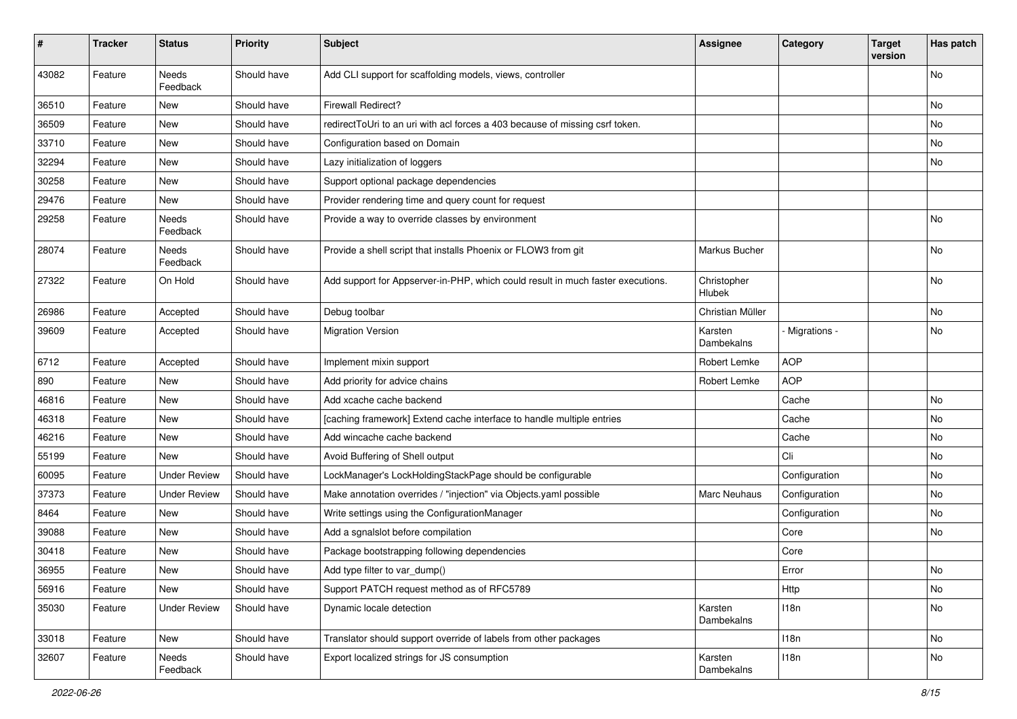| #     | <b>Tracker</b> | <b>Status</b>       | <b>Priority</b> | <b>Subject</b>                                                                  | <b>Assignee</b>       | Category      | <b>Target</b><br>version | Has patch |
|-------|----------------|---------------------|-----------------|---------------------------------------------------------------------------------|-----------------------|---------------|--------------------------|-----------|
| 43082 | Feature        | Needs<br>Feedback   | Should have     | Add CLI support for scaffolding models, views, controller                       |                       |               |                          | No        |
| 36510 | Feature        | New                 | Should have     | <b>Firewall Redirect?</b>                                                       |                       |               |                          | No        |
| 36509 | Feature        | <b>New</b>          | Should have     | redirectToUri to an uri with acl forces a 403 because of missing csrf token.    |                       |               |                          | No        |
| 33710 | Feature        | New                 | Should have     | Configuration based on Domain                                                   |                       |               |                          | No        |
| 32294 | Feature        | New                 | Should have     | Lazy initialization of loggers                                                  |                       |               |                          | No        |
| 30258 | Feature        | New                 | Should have     | Support optional package dependencies                                           |                       |               |                          |           |
| 29476 | Feature        | New                 | Should have     | Provider rendering time and query count for request                             |                       |               |                          |           |
| 29258 | Feature        | Needs<br>Feedback   | Should have     | Provide a way to override classes by environment                                |                       |               |                          | No        |
| 28074 | Feature        | Needs<br>Feedback   | Should have     | Provide a shell script that installs Phoenix or FLOW3 from git                  | Markus Bucher         |               |                          | No        |
| 27322 | Feature        | On Hold             | Should have     | Add support for Appserver-in-PHP, which could result in much faster executions. | Christopher<br>Hlubek |               |                          | No        |
| 26986 | Feature        | Accepted            | Should have     | Debug toolbar                                                                   | Christian Müller      |               |                          | No        |
| 39609 | Feature        | Accepted            | Should have     | <b>Migration Version</b>                                                        | Karsten<br>Dambekalns | Migrations -  |                          | No        |
| 6712  | Feature        | Accepted            | Should have     | Implement mixin support                                                         | Robert Lemke          | <b>AOP</b>    |                          |           |
| 890   | Feature        | New                 | Should have     | Add priority for advice chains                                                  | Robert Lemke          | <b>AOP</b>    |                          |           |
| 46816 | Feature        | New                 | Should have     | Add xcache cache backend                                                        |                       | Cache         |                          | No        |
| 46318 | Feature        | New                 | Should have     | [caching framework] Extend cache interface to handle multiple entries           |                       | Cache         |                          | No        |
| 46216 | Feature        | New                 | Should have     | Add wincache cache backend                                                      |                       | Cache         |                          | No        |
| 55199 | Feature        | New                 | Should have     | Avoid Buffering of Shell output                                                 |                       | Cli           |                          | No        |
| 60095 | Feature        | <b>Under Review</b> | Should have     | LockManager's LockHoldingStackPage should be configurable                       |                       | Configuration |                          | No        |
| 37373 | Feature        | <b>Under Review</b> | Should have     | Make annotation overrides / "injection" via Objects.yaml possible               | Marc Neuhaus          | Configuration |                          | No        |
| 8464  | Feature        | New                 | Should have     | Write settings using the ConfigurationManager                                   |                       | Configuration |                          | No        |
| 39088 | Feature        | New                 | Should have     | Add a sgnalslot before compilation                                              |                       | Core          |                          | No        |
| 30418 | Feature        | New                 | Should have     | Package bootstrapping following dependencies                                    |                       | Core          |                          |           |
| 36955 | Feature        | New                 | Should have     | Add type filter to var dump()                                                   |                       | Error         |                          | No        |
| 56916 | Feature        | <b>New</b>          | Should have     | Support PATCH request method as of RFC5789                                      |                       | Http          |                          | No        |
| 35030 | Feature        | <b>Under Review</b> | Should have     | Dynamic locale detection                                                        | Karsten<br>Dambekalns | 118n          |                          | No        |
| 33018 | Feature        | New                 | Should have     | Translator should support override of labels from other packages                |                       | 118n          |                          | No        |
| 32607 | Feature        | Needs<br>Feedback   | Should have     | Export localized strings for JS consumption                                     | Karsten<br>Dambekalns | 118n          |                          | No        |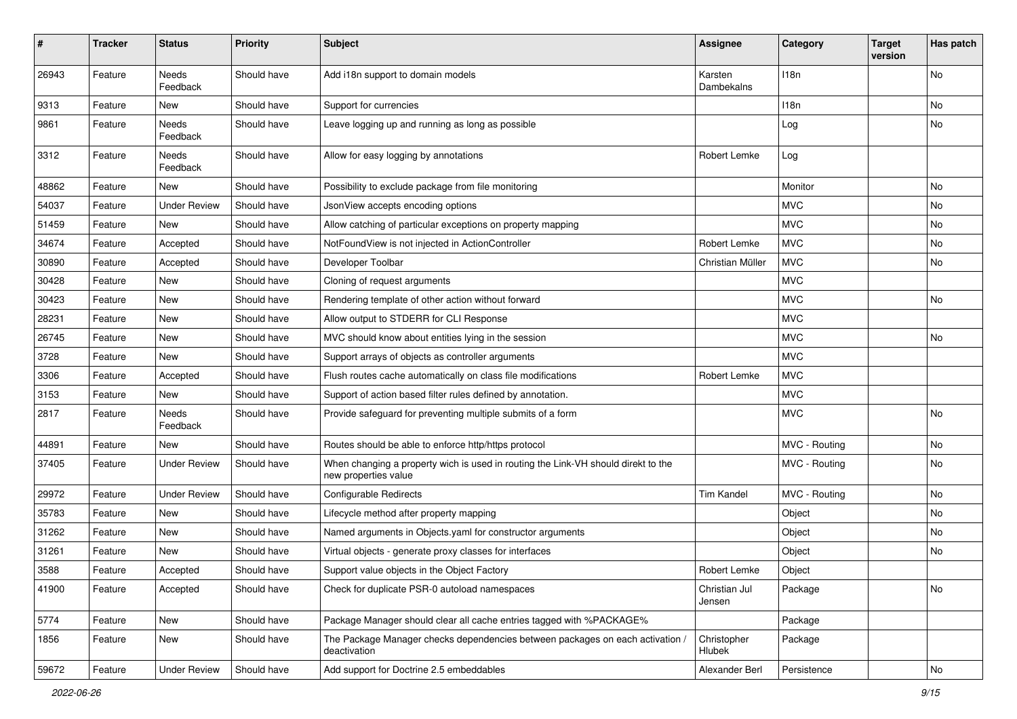| $\pmb{\#}$ | <b>Tracker</b> | <b>Status</b>            | <b>Priority</b> | <b>Subject</b>                                                                                            | Assignee                | Category      | <b>Target</b><br>version | Has patch |
|------------|----------------|--------------------------|-----------------|-----------------------------------------------------------------------------------------------------------|-------------------------|---------------|--------------------------|-----------|
| 26943      | Feature        | Needs<br>Feedback        | Should have     | Add i18n support to domain models                                                                         | Karsten<br>Dambekalns   | 118n          |                          | <b>No</b> |
| 9313       | Feature        | New                      | Should have     | Support for currencies                                                                                    |                         | 118n          |                          | No        |
| 9861       | Feature        | Needs<br>Feedback        | Should have     | Leave logging up and running as long as possible                                                          |                         | Log           |                          | No        |
| 3312       | Feature        | <b>Needs</b><br>Feedback | Should have     | Allow for easy logging by annotations                                                                     | Robert Lemke            | Log           |                          |           |
| 48862      | Feature        | New                      | Should have     | Possibility to exclude package from file monitoring                                                       |                         | Monitor       |                          | <b>No</b> |
| 54037      | Feature        | <b>Under Review</b>      | Should have     | JsonView accepts encoding options                                                                         |                         | <b>MVC</b>    |                          | No        |
| 51459      | Feature        | <b>New</b>               | Should have     | Allow catching of particular exceptions on property mapping                                               |                         | <b>MVC</b>    |                          | No        |
| 34674      | Feature        | Accepted                 | Should have     | NotFoundView is not injected in ActionController                                                          | Robert Lemke            | <b>MVC</b>    |                          | No        |
| 30890      | Feature        | Accepted                 | Should have     | Developer Toolbar                                                                                         | Christian Müller        | <b>MVC</b>    |                          | No        |
| 30428      | Feature        | New                      | Should have     | Cloning of request arguments                                                                              |                         | <b>MVC</b>    |                          |           |
| 30423      | Feature        | <b>New</b>               | Should have     | Rendering template of other action without forward                                                        |                         | <b>MVC</b>    |                          | <b>No</b> |
| 28231      | Feature        | New                      | Should have     | Allow output to STDERR for CLI Response                                                                   |                         | <b>MVC</b>    |                          |           |
| 26745      | Feature        | New                      | Should have     | MVC should know about entities lying in the session                                                       |                         | <b>MVC</b>    |                          | No        |
| 3728       | Feature        | New                      | Should have     | Support arrays of objects as controller arguments                                                         |                         | <b>MVC</b>    |                          |           |
| 3306       | Feature        | Accepted                 | Should have     | Flush routes cache automatically on class file modifications                                              | Robert Lemke            | <b>MVC</b>    |                          |           |
| 3153       | Feature        | New                      | Should have     | Support of action based filter rules defined by annotation.                                               |                         | <b>MVC</b>    |                          |           |
| 2817       | Feature        | Needs<br>Feedback        | Should have     | Provide safeguard for preventing multiple submits of a form                                               |                         | <b>MVC</b>    |                          | No        |
| 44891      | Feature        | New                      | Should have     | Routes should be able to enforce http/https protocol                                                      |                         | MVC - Routing |                          | No        |
| 37405      | Feature        | <b>Under Review</b>      | Should have     | When changing a property wich is used in routing the Link-VH should direkt to the<br>new properties value |                         | MVC - Routing |                          | No        |
| 29972      | Feature        | <b>Under Review</b>      | Should have     | <b>Configurable Redirects</b>                                                                             | <b>Tim Kandel</b>       | MVC - Routing |                          | <b>No</b> |
| 35783      | Feature        | New                      | Should have     | Lifecycle method after property mapping                                                                   |                         | Object        |                          | No        |
| 31262      | Feature        | New                      | Should have     | Named arguments in Objects.yaml for constructor arguments                                                 |                         | Object        |                          | No        |
| 31261      | Feature        | New                      | Should have     | Virtual objects - generate proxy classes for interfaces                                                   |                         | Object        |                          | No        |
| 3588       | Feature        | Accepted                 | Should have     | Support value objects in the Object Factory                                                               | Robert Lemke            | Object        |                          |           |
| 41900      | Feature        | Accepted                 | Should have     | Check for duplicate PSR-0 autoload namespaces                                                             | Christian Jul<br>Jensen | Package       |                          | No        |
| 5774       | Feature        | New                      | Should have     | Package Manager should clear all cache entries tagged with %PACKAGE%                                      |                         | Package       |                          |           |
| 1856       | Feature        | New                      | Should have     | The Package Manager checks dependencies between packages on each activation /<br>deactivation             | Christopher<br>Hlubek   | Package       |                          |           |
| 59672      | Feature        | <b>Under Review</b>      | Should have     | Add support for Doctrine 2.5 embeddables                                                                  | Alexander Berl          | Persistence   |                          | No        |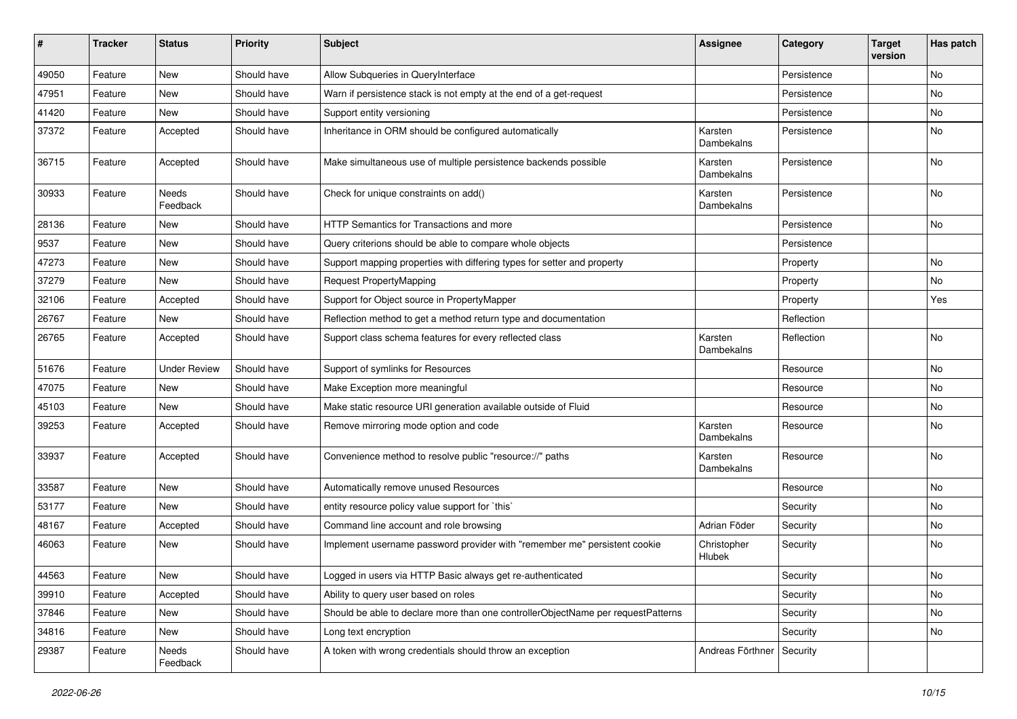| ∦     | <b>Tracker</b> | <b>Status</b>       | <b>Priority</b> | Subject                                                                          | <b>Assignee</b>       | Category    | <b>Target</b><br>version | Has patch |
|-------|----------------|---------------------|-----------------|----------------------------------------------------------------------------------|-----------------------|-------------|--------------------------|-----------|
| 49050 | Feature        | New                 | Should have     | Allow Subqueries in QueryInterface                                               |                       | Persistence |                          | No        |
| 47951 | Feature        | New                 | Should have     | Warn if persistence stack is not empty at the end of a get-request               |                       | Persistence |                          | No        |
| 41420 | Feature        | New                 | Should have     | Support entity versioning                                                        |                       | Persistence |                          | No        |
| 37372 | Feature        | Accepted            | Should have     | Inheritance in ORM should be configured automatically                            | Karsten<br>Dambekalns | Persistence |                          | No        |
| 36715 | Feature        | Accepted            | Should have     | Make simultaneous use of multiple persistence backends possible                  | Karsten<br>Dambekalns | Persistence |                          | No        |
| 30933 | Feature        | Needs<br>Feedback   | Should have     | Check for unique constraints on add()                                            | Karsten<br>Dambekalns | Persistence |                          | No        |
| 28136 | Feature        | New                 | Should have     | HTTP Semantics for Transactions and more                                         |                       | Persistence |                          | No        |
| 9537  | Feature        | New                 | Should have     | Query criterions should be able to compare whole objects                         |                       | Persistence |                          |           |
| 47273 | Feature        | New                 | Should have     | Support mapping properties with differing types for setter and property          |                       | Property    |                          | No        |
| 37279 | Feature        | New                 | Should have     | <b>Request PropertyMapping</b>                                                   |                       | Property    |                          | No        |
| 32106 | Feature        | Accepted            | Should have     | Support for Object source in PropertyMapper                                      |                       | Property    |                          | Yes       |
| 26767 | Feature        | New                 | Should have     | Reflection method to get a method return type and documentation                  |                       | Reflection  |                          |           |
| 26765 | Feature        | Accepted            | Should have     | Support class schema features for every reflected class                          | Karsten<br>Dambekalns | Reflection  |                          | No        |
| 51676 | Feature        | <b>Under Review</b> | Should have     | Support of symlinks for Resources                                                |                       | Resource    |                          | No        |
| 47075 | Feature        | New                 | Should have     | Make Exception more meaningful                                                   |                       | Resource    |                          | No        |
| 45103 | Feature        | <b>New</b>          | Should have     | Make static resource URI generation available outside of Fluid                   |                       | Resource    |                          | No        |
| 39253 | Feature        | Accepted            | Should have     | Remove mirroring mode option and code                                            | Karsten<br>Dambekalns | Resource    |                          | No        |
| 33937 | Feature        | Accepted            | Should have     | Convenience method to resolve public "resource://" paths                         | Karsten<br>Dambekalns | Resource    |                          | No        |
| 33587 | Feature        | New                 | Should have     | Automatically remove unused Resources                                            |                       | Resource    |                          | No        |
| 53177 | Feature        | <b>New</b>          | Should have     | entity resource policy value support for `this`                                  |                       | Security    |                          | No        |
| 48167 | Feature        | Accepted            | Should have     | Command line account and role browsing                                           | Adrian Föder          | Security    |                          | No        |
| 46063 | Feature        | New                 | Should have     | Implement username password provider with "remember me" persistent cookie        | Christopher<br>Hlubek | Security    |                          | No        |
| 44563 | Feature        | New                 | Should have     | Logged in users via HTTP Basic always get re-authenticated                       |                       | Security    |                          | No        |
| 39910 | Feature        | Accepted            | Should have     | Ability to query user based on roles                                             |                       | Security    |                          | No        |
| 37846 | Feature        | New                 | Should have     | Should be able to declare more than one controllerObjectName per requestPatterns |                       | Security    |                          | No        |
| 34816 | Feature        | New                 | Should have     | Long text encryption                                                             |                       | Security    |                          | No        |
| 29387 | Feature        | Needs<br>Feedback   | Should have     | A token with wrong credentials should throw an exception                         | Andreas Förthner      | Security    |                          |           |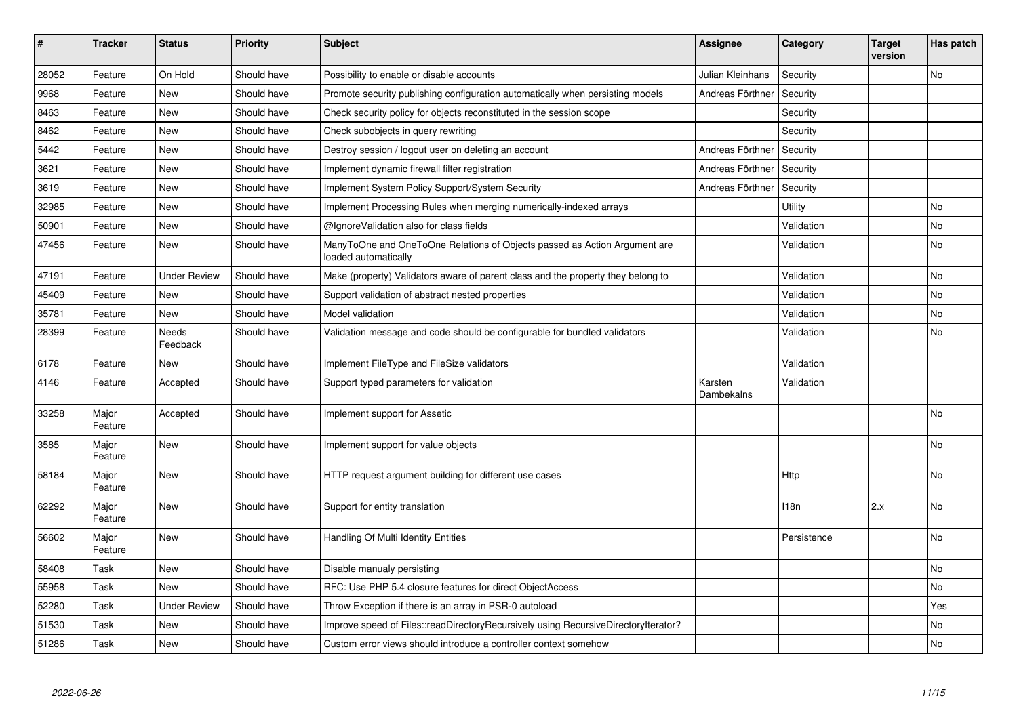| $\vert$ # | <b>Tracker</b>   | <b>Status</b>            | <b>Priority</b> | <b>Subject</b>                                                                                    | <b>Assignee</b>       | Category         | <b>Target</b><br>version | Has patch |
|-----------|------------------|--------------------------|-----------------|---------------------------------------------------------------------------------------------------|-----------------------|------------------|--------------------------|-----------|
| 28052     | Feature          | On Hold                  | Should have     | Possibility to enable or disable accounts                                                         | Julian Kleinhans      | Security         |                          | No        |
| 9968      | Feature          | <b>New</b>               | Should have     | Promote security publishing configuration automatically when persisting models                    | Andreas Förthner      | Security         |                          |           |
| 8463      | Feature          | <b>New</b>               | Should have     | Check security policy for objects reconstituted in the session scope                              |                       | Security         |                          |           |
| 8462      | Feature          | <b>New</b>               | Should have     | Check subobjects in query rewriting                                                               |                       | Security         |                          |           |
| 5442      | Feature          | <b>New</b>               | Should have     | Destroy session / logout user on deleting an account                                              | Andreas Förthner      | Security         |                          |           |
| 3621      | Feature          | <b>New</b>               | Should have     | Implement dynamic firewall filter registration                                                    | Andreas Förthner      | Security         |                          |           |
| 3619      | Feature          | <b>New</b>               | Should have     | Implement System Policy Support/System Security                                                   | Andreas Förthner      | Security         |                          |           |
| 32985     | Feature          | <b>New</b>               | Should have     | Implement Processing Rules when merging numerically-indexed arrays                                |                       | Utility          |                          | <b>No</b> |
| 50901     | Feature          | <b>New</b>               | Should have     | @IgnoreValidation also for class fields                                                           |                       | Validation       |                          | No        |
| 47456     | Feature          | <b>New</b>               | Should have     | ManyToOne and OneToOne Relations of Objects passed as Action Argument are<br>loaded automatically |                       | Validation       |                          | <b>No</b> |
| 47191     | Feature          | <b>Under Review</b>      | Should have     | Make (property) Validators aware of parent class and the property they belong to                  |                       | Validation       |                          | No        |
| 45409     | Feature          | <b>New</b>               | Should have     | Support validation of abstract nested properties                                                  |                       | Validation       |                          | No        |
| 35781     | Feature          | <b>New</b>               | Should have     | Model validation                                                                                  |                       | Validation       |                          | No        |
| 28399     | Feature          | <b>Needs</b><br>Feedback | Should have     | Validation message and code should be configurable for bundled validators                         |                       | Validation       |                          | <b>No</b> |
| 6178      | Feature          | New                      | Should have     | Implement FileType and FileSize validators                                                        |                       | Validation       |                          |           |
| 4146      | Feature          | Accepted                 | Should have     | Support typed parameters for validation                                                           | Karsten<br>Dambekalns | Validation       |                          |           |
| 33258     | Major<br>Feature | Accepted                 | Should have     | Implement support for Assetic                                                                     |                       |                  |                          | No        |
| 3585      | Major<br>Feature | <b>New</b>               | Should have     | Implement support for value objects                                                               |                       |                  |                          | <b>No</b> |
| 58184     | Major<br>Feature | New                      | Should have     | HTTP request argument building for different use cases                                            |                       | Http             |                          | <b>No</b> |
| 62292     | Major<br>Feature | <b>New</b>               | Should have     | Support for entity translation                                                                    |                       | 118 <sub>n</sub> | 2.x                      | No        |
| 56602     | Major<br>Feature | <b>New</b>               | Should have     | Handling Of Multi Identity Entities                                                               |                       | Persistence      |                          | No        |
| 58408     | Task             | <b>New</b>               | Should have     | Disable manualy persisting                                                                        |                       |                  |                          | No        |
| 55958     | Task             | <b>New</b>               | Should have     | RFC: Use PHP 5.4 closure features for direct ObjectAccess                                         |                       |                  |                          | No        |
| 52280     | Task             | <b>Under Review</b>      | Should have     | Throw Exception if there is an array in PSR-0 autoload                                            |                       |                  |                          | Yes       |
| 51530     | Task             | New                      | Should have     | Improve speed of Files::readDirectoryRecursively using RecursiveDirectoryIterator?                |                       |                  |                          | No        |
| 51286     | Task             | <b>New</b>               | Should have     | Custom error views should introduce a controller context somehow                                  |                       |                  |                          | <b>No</b> |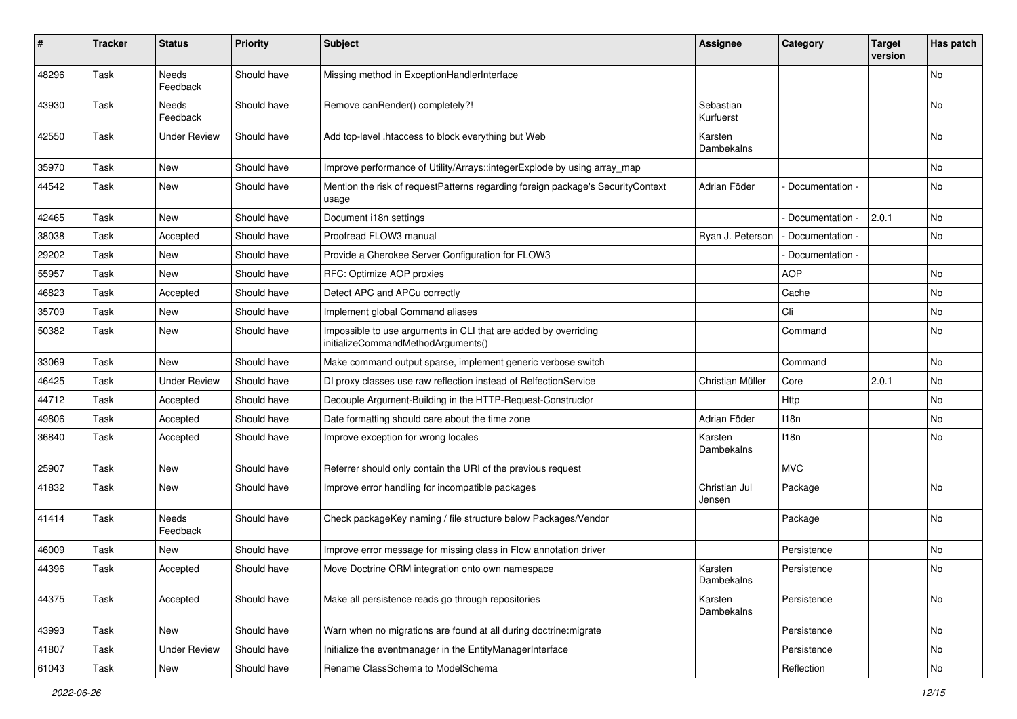| #     | <b>Tracker</b> | <b>Status</b>            | <b>Priority</b> | <b>Subject</b>                                                                                        | Assignee                | Category          | <b>Target</b><br>version | Has patch |
|-------|----------------|--------------------------|-----------------|-------------------------------------------------------------------------------------------------------|-------------------------|-------------------|--------------------------|-----------|
| 48296 | Task           | <b>Needs</b><br>Feedback | Should have     | Missing method in ExceptionHandlerInterface                                                           |                         |                   |                          | No.       |
| 43930 | Task           | <b>Needs</b><br>Feedback | Should have     | Remove canRender() completely?!                                                                       | Sebastian<br>Kurfuerst  |                   |                          | No.       |
| 42550 | Task           | <b>Under Review</b>      | Should have     | Add top-level .htaccess to block everything but Web                                                   | Karsten<br>Dambekalns   |                   |                          | No        |
| 35970 | Task           | New                      | Should have     | Improve performance of Utility/Arrays::integerExplode by using array map                              |                         |                   |                          | No        |
| 44542 | Task           | New                      | Should have     | Mention the risk of requestPatterns regarding foreign package's SecurityContext<br>usage              | Adrian Föder            | Documentation -   |                          | <b>No</b> |
| 42465 | Task           | <b>New</b>               | Should have     | Document i18n settings                                                                                |                         | Documentation -   | 2.0.1                    | No        |
| 38038 | Task           | Accepted                 | Should have     | Proofread FLOW3 manual                                                                                | Ryan J. Peterson        | - Documentation - |                          | No        |
| 29202 | Task           | <b>New</b>               | Should have     | Provide a Cherokee Server Configuration for FLOW3                                                     |                         | Documentation -   |                          |           |
| 55957 | Task           | <b>New</b>               | Should have     | RFC: Optimize AOP proxies                                                                             |                         | <b>AOP</b>        |                          | No        |
| 46823 | Task           | Accepted                 | Should have     | Detect APC and APCu correctly                                                                         |                         | Cache             |                          | No        |
| 35709 | Task           | New                      | Should have     | Implement global Command aliases                                                                      |                         | Cli               |                          | No        |
| 50382 | Task           | New                      | Should have     | Impossible to use arguments in CLI that are added by overriding<br>initializeCommandMethodArguments() |                         | Command           |                          | No        |
| 33069 | Task           | <b>New</b>               | Should have     | Make command output sparse, implement generic verbose switch                                          |                         | Command           |                          | No        |
| 46425 | Task           | <b>Under Review</b>      | Should have     | DI proxy classes use raw reflection instead of RelfectionService                                      | Christian Müller        | Core              | 2.0.1                    | No.       |
| 44712 | Task           | Accepted                 | Should have     | Decouple Argument-Building in the HTTP-Request-Constructor                                            |                         | Http              |                          | No        |
| 49806 | Task           | Accepted                 | Should have     | Date formatting should care about the time zone                                                       | Adrian Föder            | 118n              |                          | No        |
| 36840 | Task           | Accepted                 | Should have     | Improve exception for wrong locales                                                                   | Karsten<br>Dambekalns   | 118n              |                          | No        |
| 25907 | Task           | <b>New</b>               | Should have     | Referrer should only contain the URI of the previous request                                          |                         | <b>MVC</b>        |                          |           |
| 41832 | Task           | New                      | Should have     | Improve error handling for incompatible packages                                                      | Christian Jul<br>Jensen | Package           |                          | No        |
| 41414 | Task           | <b>Needs</b><br>Feedback | Should have     | Check packageKey naming / file structure below Packages/Vendor                                        |                         | Package           |                          | No.       |
| 46009 | Task           | New                      | Should have     | Improve error message for missing class in Flow annotation driver                                     |                         | Persistence       |                          | No        |
| 44396 | Task           | Accepted                 | Should have     | Move Doctrine ORM integration onto own namespace                                                      | Karsten<br>Dambekalns   | Persistence       |                          | No        |
| 44375 | Task           | Accepted                 | Should have     | Make all persistence reads go through repositories                                                    | Karsten<br>Dambekalns   | Persistence       |                          | No        |
| 43993 | Task           | New                      | Should have     | Warn when no migrations are found at all during doctrine: migrate                                     |                         | Persistence       |                          | No        |
| 41807 | Task           | <b>Under Review</b>      | Should have     | Initialize the eventmanager in the EntityManagerInterface                                             |                         | Persistence       |                          | No        |
| 61043 | Task           | New                      | Should have     | Rename ClassSchema to ModelSchema                                                                     |                         | Reflection        |                          | No        |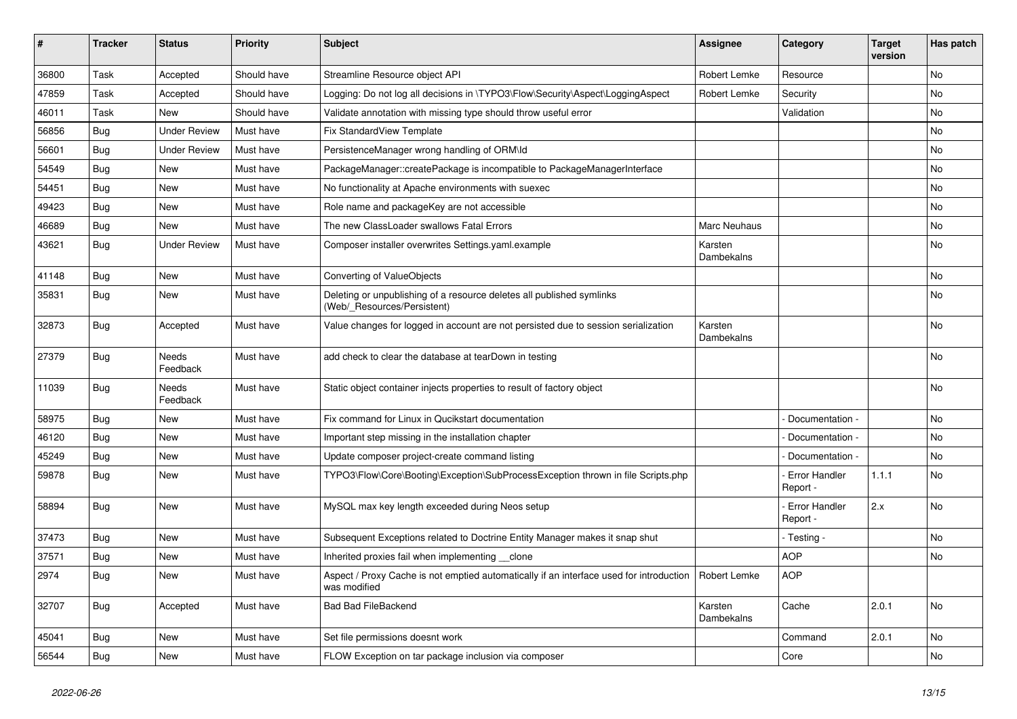| #     | <b>Tracker</b> | <b>Status</b>       | <b>Priority</b> | <b>Subject</b>                                                                                          | <b>Assignee</b>       | Category                         | <b>Target</b><br>version | Has patch |
|-------|----------------|---------------------|-----------------|---------------------------------------------------------------------------------------------------------|-----------------------|----------------------------------|--------------------------|-----------|
| 36800 | Task           | Accepted            | Should have     | Streamline Resource object API                                                                          | Robert Lemke          | Resource                         |                          | <b>No</b> |
| 47859 | Task           | Accepted            | Should have     | Logging: Do not log all decisions in \TYPO3\Flow\Security\Aspect\LoggingAspect                          | Robert Lemke          | Security                         |                          | No        |
| 46011 | Task           | <b>New</b>          | Should have     | Validate annotation with missing type should throw useful error                                         |                       | Validation                       |                          | No        |
| 56856 | Bug            | <b>Under Review</b> | Must have       | <b>Fix StandardView Template</b>                                                                        |                       |                                  |                          | No        |
| 56601 | Bug            | <b>Under Review</b> | Must have       | PersistenceManager wrong handling of ORM\ld                                                             |                       |                                  |                          | No        |
| 54549 | <b>Bug</b>     | <b>New</b>          | Must have       | PackageManager::createPackage is incompatible to PackageManagerInterface                                |                       |                                  |                          | No        |
| 54451 | <b>Bug</b>     | <b>New</b>          | Must have       | No functionality at Apache environments with suexec                                                     |                       |                                  |                          | No        |
| 49423 | <b>Bug</b>     | <b>New</b>          | Must have       | Role name and packageKey are not accessible                                                             |                       |                                  |                          | No        |
| 46689 | <b>Bug</b>     | <b>New</b>          | Must have       | The new ClassLoader swallows Fatal Errors                                                               | Marc Neuhaus          |                                  |                          | No        |
| 43621 | <b>Bug</b>     | <b>Under Review</b> | Must have       | Composer installer overwrites Settings.yaml.example                                                     | Karsten<br>Dambekalns |                                  |                          | No        |
| 41148 | <b>Bug</b>     | <b>New</b>          | Must have       | Converting of ValueObjects                                                                              |                       |                                  |                          | <b>No</b> |
| 35831 | <b>Bug</b>     | <b>New</b>          | Must have       | Deleting or unpublishing of a resource deletes all published symlinks<br>(Web/_Resources/Persistent)    |                       |                                  |                          | No        |
| 32873 | Bug            | Accepted            | Must have       | Value changes for logged in account are not persisted due to session serialization                      | Karsten<br>Dambekalns |                                  |                          | No        |
| 27379 | Bug            | Needs<br>Feedback   | Must have       | add check to clear the database at tearDown in testing                                                  |                       |                                  |                          | No        |
| 11039 | <b>Bug</b>     | Needs<br>Feedback   | Must have       | Static object container injects properties to result of factory object                                  |                       |                                  |                          | No        |
| 58975 | <b>Bug</b>     | New                 | Must have       | Fix command for Linux in Qucikstart documentation                                                       |                       | Documentation -                  |                          | <b>No</b> |
| 46120 | <b>Bug</b>     | New                 | Must have       | Important step missing in the installation chapter                                                      |                       | Documentation -                  |                          | <b>No</b> |
| 45249 | <b>Bug</b>     | New                 | Must have       | Update composer project-create command listing                                                          |                       | Documentation -                  |                          | No        |
| 59878 | Bug            | New                 | Must have       | TYPO3\Flow\Core\Booting\Exception\SubProcessException thrown in file Scripts.php                        |                       | <b>Error Handler</b><br>Report - | 1.1.1                    | No        |
| 58894 | Bug            | New                 | Must have       | MySQL max key length exceeded during Neos setup                                                         |                       | Error Handler<br>Report -        | 2.x                      | <b>No</b> |
| 37473 | <b>Bug</b>     | <b>New</b>          | Must have       | Subsequent Exceptions related to Doctrine Entity Manager makes it snap shut                             |                       | - Testing -                      |                          | No        |
| 37571 | <b>Bug</b>     | <b>New</b>          | Must have       | Inherited proxies fail when implementing clone                                                          |                       | <b>AOP</b>                       |                          | No        |
| 2974  | <b>Bug</b>     | <b>New</b>          | Must have       | Aspect / Proxy Cache is not emptied automatically if an interface used for introduction<br>was modified | Robert Lemke          | <b>AOP</b>                       |                          |           |
| 32707 | Bug            | Accepted            | Must have       | <b>Bad Bad FileBackend</b>                                                                              | Karsten<br>Dambekalns | Cache                            | 2.0.1                    | <b>No</b> |
| 45041 | <b>Bug</b>     | New                 | Must have       | Set file permissions doesnt work                                                                        |                       | Command                          | 2.0.1                    | No        |
| 56544 | <b>Bug</b>     | New                 | Must have       | FLOW Exception on tar package inclusion via composer                                                    |                       | Core                             |                          | No        |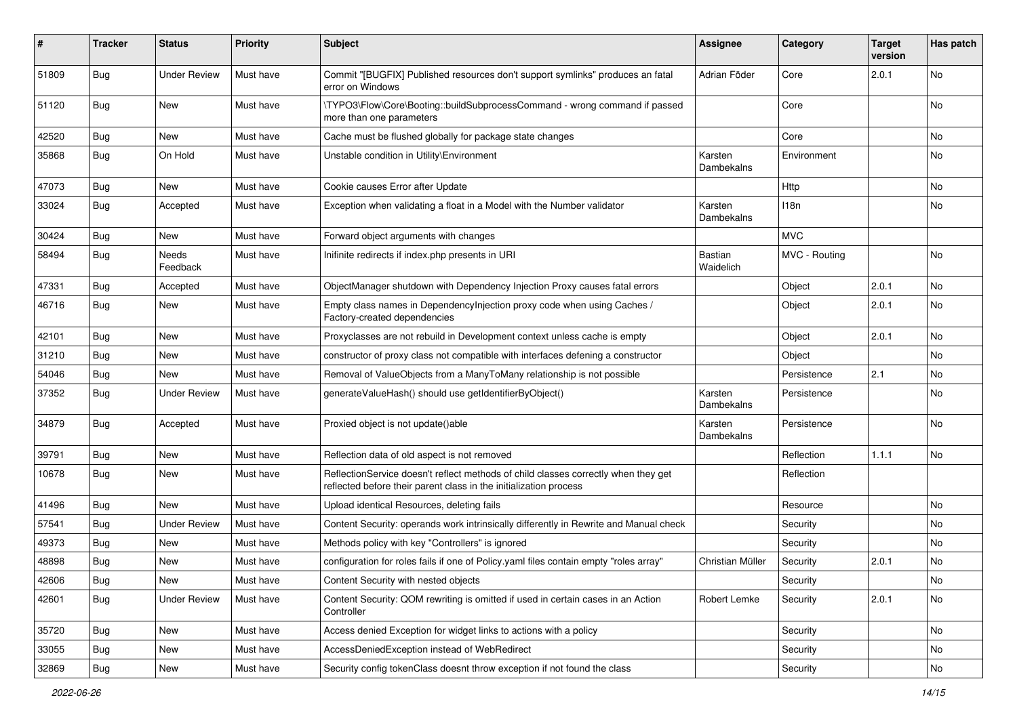| #     | <b>Tracker</b> | <b>Status</b>       | <b>Priority</b> | <b>Subject</b>                                                                                                                                          | <b>Assignee</b>             | Category      | <b>Target</b><br>version | Has patch |
|-------|----------------|---------------------|-----------------|---------------------------------------------------------------------------------------------------------------------------------------------------------|-----------------------------|---------------|--------------------------|-----------|
| 51809 | <b>Bug</b>     | <b>Under Review</b> | Must have       | Commit "[BUGFIX] Published resources don't support symlinks" produces an fatal<br>error on Windows                                                      | Adrian Föder                | Core          | 2.0.1                    | No        |
| 51120 | <b>Bug</b>     | <b>New</b>          | Must have       | \TYPO3\Flow\Core\Booting::buildSubprocessCommand - wrong command if passed<br>more than one parameters                                                  |                             | Core          |                          | No        |
| 42520 | <b>Bug</b>     | New                 | Must have       | Cache must be flushed globally for package state changes                                                                                                |                             | Core          |                          | No        |
| 35868 | <b>Bug</b>     | On Hold             | Must have       | Unstable condition in Utility\Environment                                                                                                               | Karsten<br>Dambekalns       | Environment   |                          | No        |
| 47073 | <b>Bug</b>     | New                 | Must have       | Cookie causes Error after Update                                                                                                                        |                             | Http          |                          | No        |
| 33024 | <b>Bug</b>     | Accepted            | Must have       | Exception when validating a float in a Model with the Number validator                                                                                  | Karsten<br>Dambekalns       | 118n          |                          | <b>No</b> |
| 30424 | <b>Bug</b>     | New                 | Must have       | Forward object arguments with changes                                                                                                                   |                             | <b>MVC</b>    |                          |           |
| 58494 | <b>Bug</b>     | Needs<br>Feedback   | Must have       | Inifinite redirects if index.php presents in URI                                                                                                        | <b>Bastian</b><br>Waidelich | MVC - Routing |                          | No        |
| 47331 | <b>Bug</b>     | Accepted            | Must have       | ObjectManager shutdown with Dependency Injection Proxy causes fatal errors                                                                              |                             | Object        | 2.0.1                    | No        |
| 46716 | <b>Bug</b>     | New                 | Must have       | Empty class names in Dependencylnjection proxy code when using Caches /<br>Factory-created dependencies                                                 |                             | Object        | 2.0.1                    | No        |
| 42101 | Bug            | New                 | Must have       | Proxyclasses are not rebuild in Development context unless cache is empty                                                                               |                             | Object        | 2.0.1                    | No        |
| 31210 | <b>Bug</b>     | New                 | Must have       | constructor of proxy class not compatible with interfaces defening a constructor                                                                        |                             | Object        |                          | No        |
| 54046 | <b>Bug</b>     | New                 | Must have       | Removal of ValueObjects from a ManyToMany relationship is not possible                                                                                  |                             | Persistence   | 2.1                      | No        |
| 37352 | <b>Bug</b>     | <b>Under Review</b> | Must have       | generateValueHash() should use getIdentifierByObject()                                                                                                  | Karsten<br>Dambekalns       | Persistence   |                          | No        |
| 34879 | Bug            | Accepted            | Must have       | Proxied object is not update()able                                                                                                                      | Karsten<br>Dambekalns       | Persistence   |                          | No        |
| 39791 | Bug            | New                 | Must have       | Reflection data of old aspect is not removed                                                                                                            |                             | Reflection    | 1.1.1                    | No        |
| 10678 | Bug            | New                 | Must have       | ReflectionService doesn't reflect methods of child classes correctly when they get<br>reflected before their parent class in the initialization process |                             | Reflection    |                          |           |
| 41496 | <b>Bug</b>     | New                 | Must have       | Upload identical Resources, deleting fails                                                                                                              |                             | Resource      |                          | No        |
| 57541 | <b>Bug</b>     | <b>Under Review</b> | Must have       | Content Security: operands work intrinsically differently in Rewrite and Manual check                                                                   |                             | Security      |                          | <b>No</b> |
| 49373 | Bug            | New                 | Must have       | Methods policy with key "Controllers" is ignored                                                                                                        |                             | Security      |                          | No        |
| 48898 | <b>Bug</b>     | New                 | Must have       | configuration for roles fails if one of Policy yaml files contain empty "roles array"                                                                   | Christian Müller            | Security      | 2.0.1                    | <b>No</b> |
| 42606 | <b>Bug</b>     | New                 | Must have       | Content Security with nested objects                                                                                                                    |                             | Security      |                          | No        |
| 42601 | <b>Bug</b>     | <b>Under Review</b> | Must have       | Content Security: QOM rewriting is omitted if used in certain cases in an Action<br>Controller                                                          | Robert Lemke                | Security      | 2.0.1                    | No        |
| 35720 | Bug            | New                 | Must have       | Access denied Exception for widget links to actions with a policy                                                                                       |                             | Security      |                          | No        |
| 33055 | <b>Bug</b>     | New                 | Must have       | AccessDeniedException instead of WebRedirect                                                                                                            |                             | Security      |                          | No        |
| 32869 | <b>Bug</b>     | New                 | Must have       | Security config tokenClass doesnt throw exception if not found the class                                                                                |                             | Security      |                          | No        |